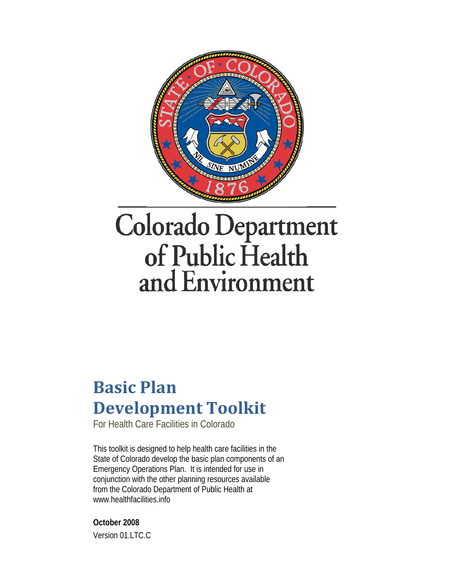

# **Colorado Department** of Public Health and Environment

# **Basic Plan Development Toolkit**

For Health Care Facilities in Colorado

This toolkit is designed to help health care facilities in the State of Colorado develop the basic plan components of an Emergency Operations Plan. It is intended for use in conjunction with the other planning resources available from the Colorado Department of Public Health at www.healthfacilities.info

**October 2008**  Version 01.LTC.C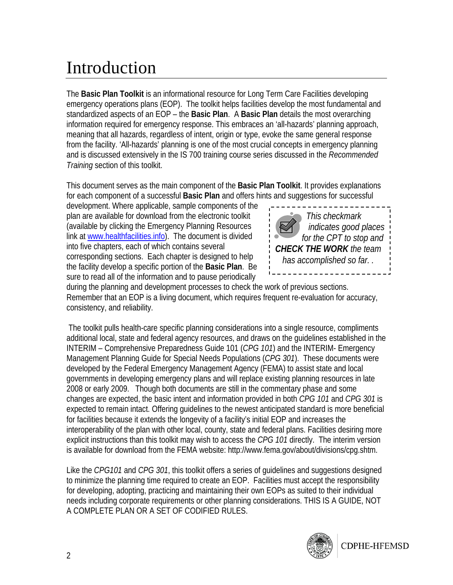# Introduction

The **Basic Plan Toolkit** is an informational resource for Long Term Care Facilities developing emergency operations plans (EOP). The toolkit helps facilities develop the most fundamental and standardized aspects of an EOP – the **Basic Plan**. A **Basic Plan** details the most overarching information required for emergency response. This embraces an 'all-hazards' planning approach, meaning that all hazards, regardless of intent, origin or type, evoke the same general response from the facility. 'All-hazards' planning is one of the most crucial concepts in emergency planning and is discussed extensively in the IS 700 training course series discussed in the *Recommended Training* section of this toolkit.

This document serves as the main component of the **Basic Plan Toolkit**. It provides explanations for each component of a successful **Basic Plan** and offers hints and suggestions for successful

development. Where applicable, sample components of the plan are available for download from the electronic toolkit (available by clicking the Emergency Planning Resources link at www.healthfacilities.info). The document is divided into five chapters, each of which contains several corresponding sections. Each chapter is designed to help the facility develop a specific portion of the **Basic Plan**. Be sure to read all of the information and to pause periodically



during the planning and development processes to check the work of previous sections. Remember that an EOP is a living document, which requires frequent re-evaluation for accuracy, consistency, and reliability.

 The toolkit pulls health-care specific planning considerations into a single resource, compliments additional local, state and federal agency resources, and draws on the guidelines established in the INTERIM – Comprehensive Preparedness Guide 101 (*CPG 101*) and the INTERIM- Emergency Management Planning Guide for Special Needs Populations (*CPG 301*). These documents were developed by the Federal Emergency Management Agency (FEMA) to assist state and local governments in developing emergency plans and will replace existing planning resources in late 2008 or early 2009. Though both documents are still in the commentary phase and some changes are expected, the basic intent and information provided in both *CPG 101* and *CPG 301* is expected to remain intact. Offering guidelines to the newest anticipated standard is more beneficial for facilities because it extends the longevity of a facility's initial EOP and increases the interoperability of the plan with other local, county, state and federal plans. Facilities desiring more explicit instructions than this toolkit may wish to access the *CPG 101* directly. The interim version is available for download from the FEMA website: http://www.fema.gov/about/divisions/cpg.shtm.

Like the *CPG101* and *CPG 301*, this toolkit offers a series of guidelines and suggestions designed to minimize the planning time required to create an EOP. Facilities must accept the responsibility for developing, adopting, practicing and maintaining their own EOPs as suited to their individual needs including corporate requirements or other planning considerations. THIS IS A GUIDE, NOT A COMPLETE PLAN OR A SET OF CODIFIED RULES.

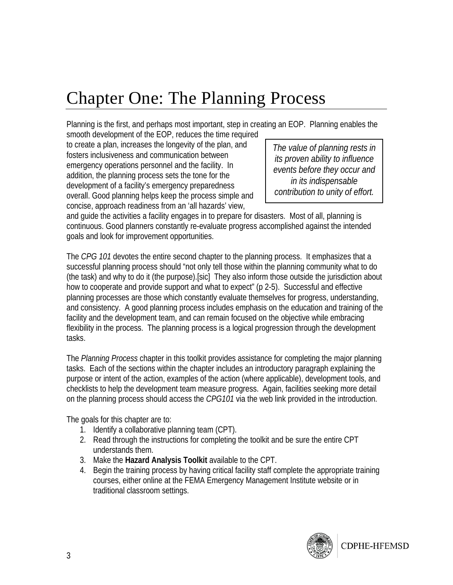# Chapter One: The Planning Process

Planning is the first, and perhaps most important, step in creating an EOP. Planning enables the smooth development of the EOP, reduces the time required

to create a plan, increases the longevity of the plan, and fosters inclusiveness and communication between emergency operations personnel and the facility. In addition, the planning process sets the tone for the development of a facility's emergency preparedness overall. Good planning helps keep the process simple and concise, approach readiness from an 'all hazards' view,

*The value of planning rests in its proven ability to influence events before they occur and in its indispensable contribution to unity of effort.*

and guide the activities a facility engages in to prepare for disasters. Most of all, planning is continuous. Good planners constantly re-evaluate progress accomplished against the intended goals and look for improvement opportunities.

The *CPG 101* devotes the entire second chapter to the planning process. It emphasizes that a successful planning process should "not only tell those within the planning community what to do (the task) and why to do it (the purpose).[sic] They also inform those outside the jurisdiction about how to cooperate and provide support and what to expect" (p 2-5). Successful and effective planning processes are those which constantly evaluate themselves for progress, understanding, and consistency. A good planning process includes emphasis on the education and training of the facility and the development team, and can remain focused on the objective while embracing flexibility in the process. The planning process is a logical progression through the development tasks.

The *Planning Process* chapter in this toolkit provides assistance for completing the major planning tasks. Each of the sections within the chapter includes an introductory paragraph explaining the purpose or intent of the action, examples of the action (where applicable), development tools, and checklists to help the development team measure progress. Again, facilities seeking more detail on the planning process should access the *CPG101* via the web link provided in the introduction.

The goals for this chapter are to:

- 1. Identify a collaborative planning team (CPT).
- 2. Read through the instructions for completing the toolkit and be sure the entire CPT understands them.
- 3. Make the **Hazard Analysis Toolkit** available to the CPT.
- 4. Begin the training process by having critical facility staff complete the appropriate training courses, either online at the FEMA Emergency Management Institute website or in traditional classroom settings.

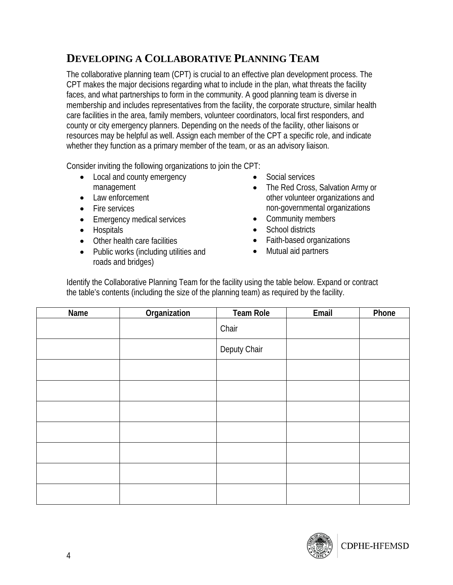### **DEVELOPING A COLLABORATIVE PLANNING TEAM**

The collaborative planning team (CPT) is crucial to an effective plan development process. The CPT makes the major decisions regarding what to include in the plan, what threats the facility faces, and what partnerships to form in the community. A good planning team is diverse in membership and includes representatives from the facility, the corporate structure, similar health care facilities in the area, family members, volunteer coordinators, local first responders, and county or city emergency planners. Depending on the needs of the facility, other liaisons or resources may be helpful as well. Assign each member of the CPT a specific role, and indicate whether they function as a primary member of the team, or as an advisory liaison.

Consider inviting the following organizations to join the CPT:

- Local and county emergency management
- Law enforcement
- Fire services
- Emergency medical services
- Hospitals
- Other health care facilities
- Public works (including utilities and roads and bridges)
- Social services
- The Red Cross, Salvation Army or other volunteer organizations and non-governmental organizations
- Community members
- School districts
- Faith-based organizations
- Mutual aid partners

Identify the Collaborative Planning Team for the facility using the table below. Expand or contract the table's contents (including the size of the planning team) as required by the facility.

| Name | Organization | <b>Team Role</b> | Email | Phone |
|------|--------------|------------------|-------|-------|
|      |              | Chair            |       |       |
|      |              | Deputy Chair     |       |       |
|      |              |                  |       |       |
|      |              |                  |       |       |
|      |              |                  |       |       |
|      |              |                  |       |       |
|      |              |                  |       |       |
|      |              |                  |       |       |
|      |              |                  |       |       |

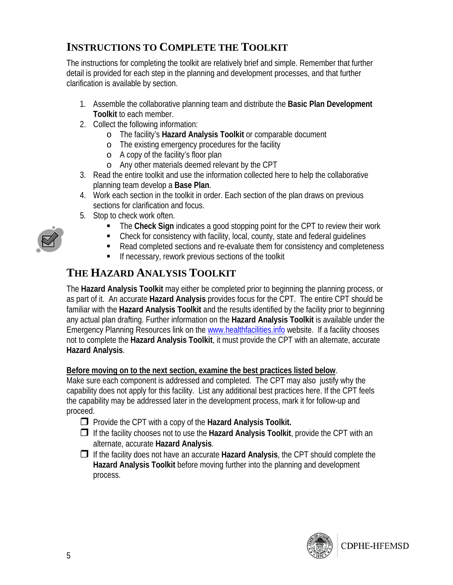### **INSTRUCTIONS TO COMPLETE THE TOOLKIT**

The instructions for completing the toolkit are relatively brief and simple. Remember that further detail is provided for each step in the planning and development processes, and that further clarification is available by section.

- 1. Assemble the collaborative planning team and distribute the **Basic Plan Development Toolkit** to each member.
- 2. Collect the following information:
	- o The facility's **Hazard Analysis Toolkit** or comparable document
	- o The existing emergency procedures for the facility
	- o A copy of the facility's floor plan
	- o Any other materials deemed relevant by the CPT
- 3. Read the entire toolkit and use the information collected here to help the collaborative planning team develop a **Base Plan**.
- 4. Work each section in the toolkit in order. Each section of the plan draws on previous sections for clarification and focus.
- 5. Stop to check work often.
	- **The Check Sign indicates a good stopping point for the CPT to review their work**
	- Check for consistency with facility, local, county, state and federal guidelines
	- Read completed sections and re-evaluate them for consistency and completeness
	- **If necessary, rework previous sections of the toolkit**

### **THE HAZARD ANALYSIS TOOLKIT**

The **Hazard Analysis Toolkit** may either be completed prior to beginning the planning process, or as part of it. An accurate **Hazard Analysis** provides focus for the CPT. The entire CPT should be familiar with the **Hazard Analysis Toolkit** and the results identified by the facility prior to beginning any actual plan drafting. Further information on the **Hazard Analysis Toolkit** is available under the Emergency Planning Resources link on the www.healthfacilities.info website. If a facility chooses not to complete the **Hazard Analysis Toolkit**, it must provide the CPT with an alternate, accurate **Hazard Analysis**.

#### **Before moving on to the next section, examine the best practices listed below**.

Make sure each component is addressed and completed. The CPT may also justify why the capability does not apply for this facility. List any additional best practices here. If the CPT feels the capability may be addressed later in the development process, mark it for follow-up and proceed.

- **Provide the CPT with a copy of the Hazard Analysis Toolkit.**
- If the facility chooses not to use the **Hazard Analysis Toolkit**, provide the CPT with an alternate, accurate **Hazard Analysis**.
- If the facility does not have an accurate **Hazard Analysis**, the CPT should complete the **Hazard Analysis Toolkit** before moving further into the planning and development process.



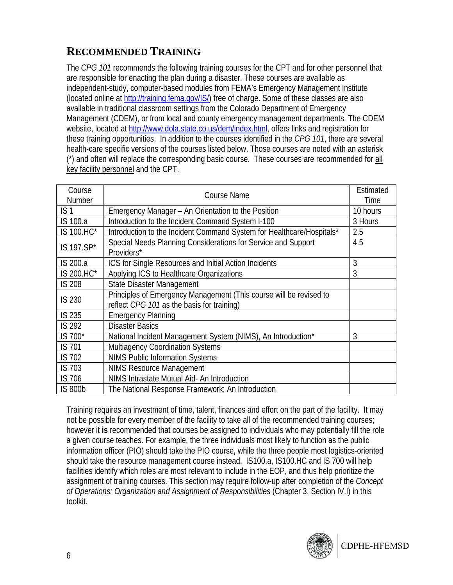# **RECOMMENDED TRAINING**

The *CPG 101* recommends the following training courses for the CPT and for other personnel that are responsible for enacting the plan during a disaster. These courses are available as independent-study, computer-based modules from FEMA's Emergency Management Institute (located online at http://training.fema.gov/IS/) free of charge. Some of these classes are also available in traditional classroom settings from the Colorado Department of Emergency Management (CDEM), or from local and county emergency management departments. The CDEM website, located at http://www.dola.state.co.us/dem/index.html, offers links and registration for these training opportunities. In addition to the courses identified in the *CPG 101*, there are several health-care specific versions of the courses listed below. Those courses are noted with an asterisk (\*) and often will replace the corresponding basic course. These courses are recommended for all key facility personnel and the CPT.

| Course<br>Number | Course Name                                                                                                      |          |
|------------------|------------------------------------------------------------------------------------------------------------------|----------|
| IS <sub>1</sub>  | Emergency Manager – An Orientation to the Position                                                               | 10 hours |
| IS 100.a         | Introduction to the Incident Command System I-100                                                                | 3 Hours  |
| IS 100.HC*       | Introduction to the Incident Command System for Healthcare/Hospitals*                                            | 2.5      |
| IS 197.SP*       | Special Needs Planning Considerations for Service and Support<br>Providers*                                      | 4.5      |
| IS 200.a         | ICS for Single Resources and Initial Action Incidents                                                            | 3        |
| IS 200.HC*       | Applying ICS to Healthcare Organizations                                                                         | 3        |
| <b>IS 208</b>    | <b>State Disaster Management</b>                                                                                 |          |
| <b>IS 230</b>    | Principles of Emergency Management (This course will be revised to<br>reflect CPG 101 as the basis for training) |          |
| <b>IS 235</b>    | <b>Emergency Planning</b>                                                                                        |          |
| <b>IS 292</b>    | <b>Disaster Basics</b>                                                                                           |          |
| IS 700*          | National Incident Management System (NIMS), An Introduction*                                                     | 3        |
| <b>IS 701</b>    | <b>Multiagency Coordination Systems</b>                                                                          |          |
| <b>IS 702</b>    | <b>NIMS Public Information Systems</b>                                                                           |          |
| IS 703           | <b>NIMS Resource Management</b>                                                                                  |          |
| IS 706           | NIMS Intrastate Mutual Aid- An Introduction                                                                      |          |
| <b>IS 800b</b>   | The National Response Framework: An Introduction                                                                 |          |

Training requires an investment of time, talent, finances and effort on the part of the facility. It may not be possible for every member of the facility to take all of the recommended training courses; however it **is** recommended that courses be assigned to individuals who may potentially fill the role a given course teaches. For example, the three individuals most likely to function as the public information officer (PIO) should take the PIO course, while the three people most logistics-oriented should take the resource management course instead. IS100.a, IS100.HC and IS 700 will help facilities identify which roles are most relevant to include in the EOP, and thus help prioritize the assignment of training courses. This section may require follow-up after completion of the *Concept of Operations: Organization and Assignment of Responsibilities* (Chapter 3, Section IV.I) in this toolkit.

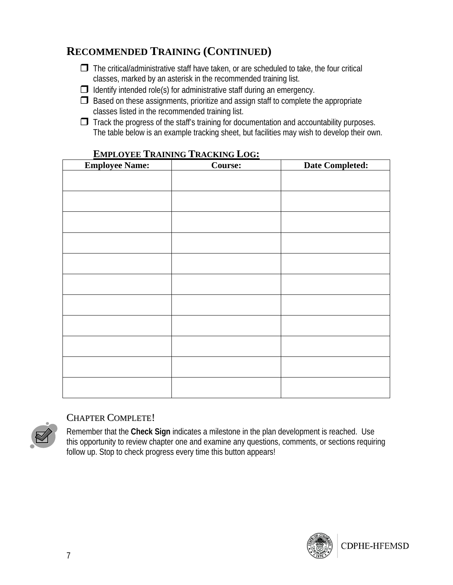# **RECOMMENDED TRAINING (CONTINUED)**

- $\Box$  The critical/administrative staff have taken, or are scheduled to take, the four critical classes, marked by an asterisk in the recommended training list.
- $\Box$  Identify intended role(s) for administrative staff during an emergency.
- $\Box$  Based on these assignments, prioritize and assign staff to complete the appropriate classes listed in the recommended training list.
- $\Box$  Track the progress of the staff's training for documentation and accountability purposes. The table below is an example tracking sheet, but facilities may wish to develop their own.

| <b>Employee Name:</b> | <u> 2001 - Martin Carlottin (ö. 2001 - </u><br><b>Course:</b> | <b>Date Completed:</b> |
|-----------------------|---------------------------------------------------------------|------------------------|
|                       |                                                               |                        |
|                       |                                                               |                        |
|                       |                                                               |                        |
|                       |                                                               |                        |
|                       |                                                               |                        |
|                       |                                                               |                        |
|                       |                                                               |                        |
|                       |                                                               |                        |
|                       |                                                               |                        |
|                       |                                                               |                        |
|                       |                                                               |                        |
|                       |                                                               |                        |

#### **EMPLOYEE TRAINING TRACKING LOG:**



#### CHAPTER COMPLETE!

Remember that the **Check Sign** indicates a milestone in the plan development is reached. Use this opportunity to review chapter one and examine any questions, comments, or sections requiring follow up. Stop to check progress every time this button appears!

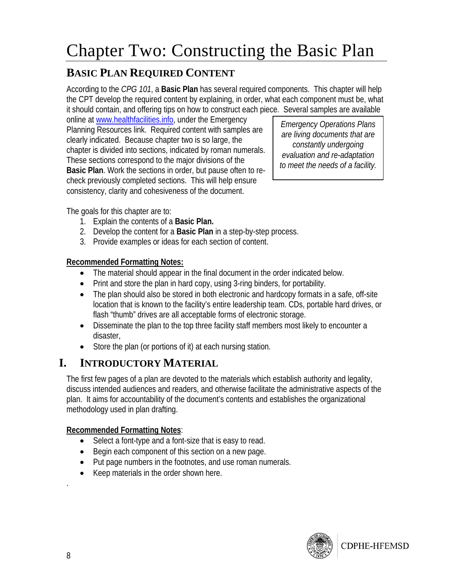# Chapter Two: Constructing the Basic Plan

## **BASIC PLAN REQUIRED CONTENT**

According to the *CPG 101*, a **Basic Plan** has several required components. This chapter will help the CPT develop the required content by explaining, in order, what each component must be, what it should contain, and offering tips on how to construct each piece. Several samples are available

online at www.healthfacilities.info, under the Emergency Planning Resources link. Required content with samples are clearly indicated. Because chapter two is so large, the chapter is divided into sections, indicated by roman numerals. These sections correspond to the major divisions of the **Basic Plan**. Work the sections in order, but pause often to recheck previously completed sections. This will help ensure consistency, clarity and cohesiveness of the document.

*Emergency Operations Plans are living documents that are constantly undergoing evaluation and re-adaptation to meet the needs of a facility.*

The goals for this chapter are to:

- 1. Explain the contents of a **Basic Plan.**
- 2. Develop the content for a **Basic Plan** in a step-by-step process.
- 3. Provide examples or ideas for each section of content.

#### **Recommended Formatting Notes:**

- The material should appear in the final document in the order indicated below.
- Print and store the plan in hard copy, using 3-ring binders, for portability.
- The plan should also be stored in both electronic and hardcopy formats in a safe, off-site location that is known to the facility's entire leadership team. CDs, portable hard drives, or flash "thumb" drives are all acceptable forms of electronic storage.
- Disseminate the plan to the top three facility staff members most likely to encounter a disaster,
- Store the plan (or portions of it) at each nursing station.

# **I. INTRODUCTORY MATERIAL**

The first few pages of a plan are devoted to the materials which establish authority and legality, discuss intended audiences and readers, and otherwise facilitate the administrative aspects of the plan. It aims for accountability of the document's contents and establishes the organizational methodology used in plan drafting.

#### **Recommended Formatting Notes**:

- Select a font-type and a font-size that is easy to read.
- Begin each component of this section on a new page.
- Put page numbers in the footnotes, and use roman numerals.
- Keep materials in the order shown here.



.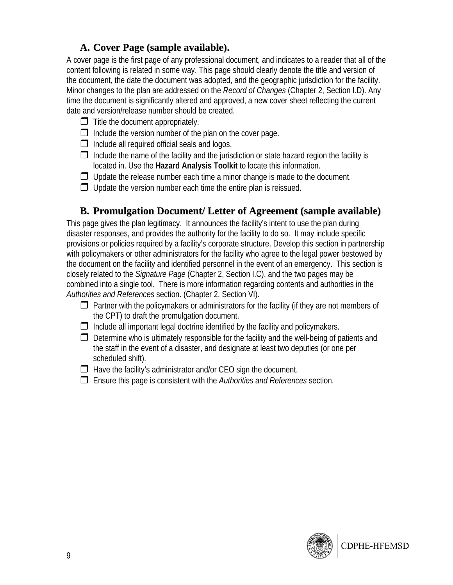#### **A. Cover Page (sample available).**

A cover page is the first page of any professional document, and indicates to a reader that all of the content following is related in some way. This page should clearly denote the title and version of the document, the date the document was adopted, and the geographic jurisdiction for the facility. Minor changes to the plan are addressed on the *Record of Changes* (Chapter 2, Section I.D). Any time the document is significantly altered and approved, a new cover sheet reflecting the current date and version/release number should be created.

- $\Box$  Title the document appropriately.
- $\Box$  Include the version number of the plan on the cover page.
- $\Box$  Include all required official seals and logos.
- $\Box$  Include the name of the facility and the jurisdiction or state hazard region the facility is located in. Use the **Hazard Analysis Toolkit** to locate this information.
- $\Box$  Update the release number each time a minor change is made to the document.
- $\Box$  Update the version number each time the entire plan is reissued.

#### **B. Promulgation Document/ Letter of Agreement (sample available)**

This page gives the plan legitimacy. It announces the facility's intent to use the plan during disaster responses, and provides the authority for the facility to do so. It may include specific provisions or policies required by a facility's corporate structure. Develop this section in partnership with policymakers or other administrators for the facility who agree to the legal power bestowed by the document on the facility and identified personnel in the event of an emergency. This section is closely related to the *Signature Page* (Chapter 2, Section I.C), and the two pages may be combined into a single tool. There is more information regarding contents and authorities in the *Authorities and References* section. (Chapter 2, Section VI).

- $\Box$  Partner with the policymakers or administrators for the facility (if they are not members of the CPT) to draft the promulgation document.
- $\Box$  Include all important legal doctrine identified by the facility and policymakers.
- $\Box$  Determine who is ultimately responsible for the facility and the well-being of patients and the staff in the event of a disaster, and designate at least two deputies (or one per scheduled shift).
- $\Box$  Have the facility's administrator and/or CEO sign the document.
- Ensure this page is consistent with the *Authorities and References* section.

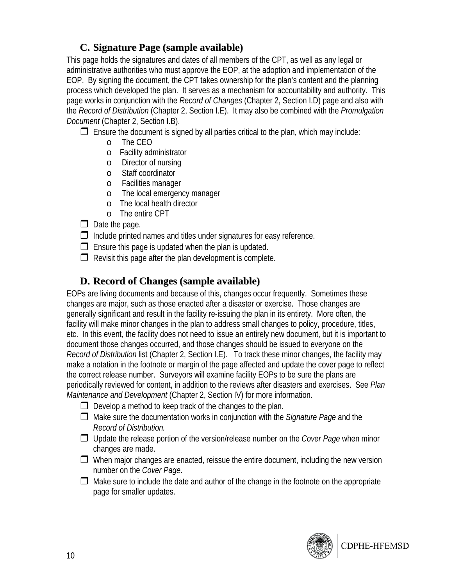#### **C. Signature Page (sample available)**

This page holds the signatures and dates of all members of the CPT, as well as any legal or administrative authorities who must approve the EOP, at the adoption and implementation of the EOP. By signing the document, the CPT takes ownership for the plan's content and the planning process which developed the plan. It serves as a mechanism for accountability and authority. This page works in conjunction with the *Record of Changes* (Chapter 2, Section I.D) page and also with the *Record of Distribution* (Chapter 2, Section I.E). It may also be combined with the *Promulgation Document* (Chapter 2, Section I.B).

 $\Box$  Ensure the document is signed by all parties critical to the plan, which may include:

- o The CEO
- o Facility administrator
- o Director of nursing
- o Staff coordinator
- o Facilities manager
- o The local emergency manager
- o The local health director
- o The entire CPT
- $\Box$  Date the page.

 $\Box$  Include printed names and titles under signatures for easy reference.

- $\Box$  Ensure this page is updated when the plan is updated.
- $\Box$  Revisit this page after the plan development is complete.

#### **D. Record of Changes (sample available)**

EOPs are living documents and because of this, changes occur frequently. Sometimes these changes are major, such as those enacted after a disaster or exercise. Those changes are generally significant and result in the facility re-issuing the plan in its entirety. More often, the facility will make minor changes in the plan to address small changes to policy, procedure, titles, etc. In this event, the facility does not need to issue an entirely new document, but it is important to document those changes occurred, and those changes should be issued to everyone on the *Record of Distribution* list (Chapter 2, Section I.E). To track these minor changes, the facility may make a notation in the footnote or margin of the page affected and update the cover page to reflect the correct release number. Surveyors will examine facility EOPs to be sure the plans are periodically reviewed for content, in addition to the reviews after disasters and exercises. See *Plan Maintenance and Development* (Chapter 2, Section IV) for more information.

- $\Box$  Develop a method to keep track of the changes to the plan.
- Make sure the documentation works in conjunction with the *Signature Page* and the *Record of Distribution.*
- Update the release portion of the version/release number on the *Cover Page* when minor changes are made.
- $\Box$  When major changes are enacted, reissue the entire document, including the new version number on the *Cover Page*.
- $\Box$  Make sure to include the date and author of the change in the footnote on the appropriate page for smaller updates.

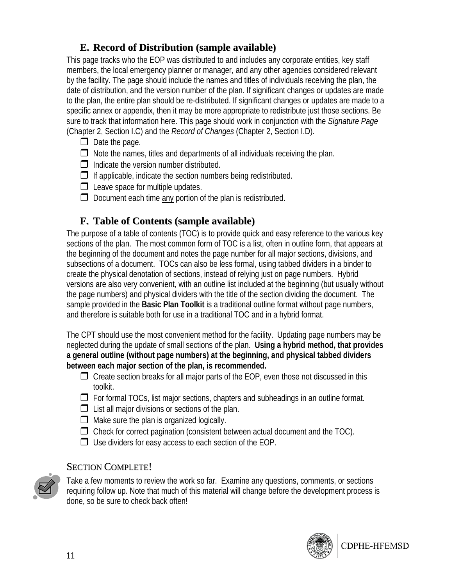#### **E. Record of Distribution (sample available)**

This page tracks who the EOP was distributed to and includes any corporate entities, key staff members, the local emergency planner or manager, and any other agencies considered relevant by the facility. The page should include the names and titles of individuals receiving the plan, the date of distribution, and the version number of the plan. If significant changes or updates are made to the plan, the entire plan should be re-distributed. If significant changes or updates are made to a specific annex or appendix, then it may be more appropriate to redistribute just those sections. Be sure to track that information here. This page should work in conjunction with the *Signature Page* (Chapter 2, Section I.C) and the *Record of Changes* (Chapter 2, Section I.D).

- $\Box$  Date the page.
- $\Box$  Note the names, titles and departments of all individuals receiving the plan.
- $\Box$  Indicate the version number distributed.
- $\Box$  If applicable, indicate the section numbers being redistributed.
- $\Box$  Leave space for multiple updates.
- $\Box$  Document each time  $\Delta$  portion of the plan is redistributed.

#### **F. Table of Contents (sample available)**

The purpose of a table of contents (TOC) is to provide quick and easy reference to the various key sections of the plan. The most common form of TOC is a list, often in outline form, that appears at the beginning of the document and notes the page number for all major sections, divisions, and subsections of a document. TOCs can also be less formal, using tabbed dividers in a binder to create the physical denotation of sections, instead of relying just on page numbers. Hybrid versions are also very convenient, with an outline list included at the beginning (but usually without the page numbers) and physical dividers with the title of the section dividing the document. The sample provided in the **Basic Plan Toolkit** is a traditional outline format without page numbers, and therefore is suitable both for use in a traditional TOC and in a hybrid format.

The CPT should use the most convenient method for the facility. Updating page numbers may be neglected during the update of small sections of the plan. **Using a hybrid method, that provides a general outline (without page numbers) at the beginning, and physical tabbed dividers between each major section of the plan, is recommended.** 

- $\Box$  Create section breaks for all major parts of the EOP, even those not discussed in this toolkit.
- $\Box$  For formal TOCs, list major sections, chapters and subheadings in an outline format.
- $\Box$  List all major divisions or sections of the plan.
- $\Box$  Make sure the plan is organized logically.
- $\Box$  Check for correct pagination (consistent between actual document and the TOC).
- $\Box$  Use dividers for easy access to each section of the EOP.

#### SECTION COMPLETE!



Take a few moments to review the work so far. Examine any questions, comments, or sections requiring follow up. Note that much of this material will change before the development process is done, so be sure to check back often!

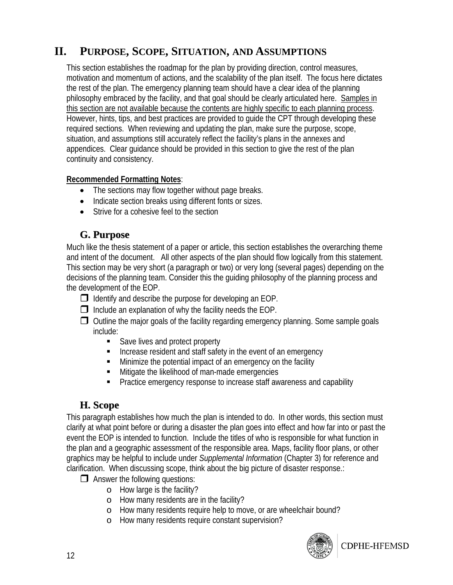# **II. PURPOSE, SCOPE, SITUATION, AND ASSUMPTIONS**

This section establishes the roadmap for the plan by providing direction, control measures, motivation and momentum of actions, and the scalability of the plan itself. The focus here dictates the rest of the plan. The emergency planning team should have a clear idea of the planning philosophy embraced by the facility, and that goal should be clearly articulated here. Samples in this section are not available because the contents are highly specific to each planning process. However, hints, tips, and best practices are provided to guide the CPT through developing these required sections. When reviewing and updating the plan, make sure the purpose, scope, situation, and assumptions still accurately reflect the facility's plans in the annexes and appendices. Clear guidance should be provided in this section to give the rest of the plan continuity and consistency.

#### **Recommended Formatting Notes**:

- The sections may flow together without page breaks.
- Indicate section breaks using different fonts or sizes.
- Strive for a cohesive feel to the section

#### **G. Purpose**

Much like the thesis statement of a paper or article, this section establishes the overarching theme and intent of the document. All other aspects of the plan should flow logically from this statement. This section may be very short (a paragraph or two) or very long (several pages) depending on the decisions of the planning team. Consider this the guiding philosophy of the planning process and the development of the EOP.

- $\Box$  Identify and describe the purpose for developing an EOP.
- $\Box$  Include an explanation of why the facility needs the EOP.
- $\Box$  Outline the major goals of the facility regarding emergency planning. Some sample goals include:
	- Save lives and protect property
	- **IF** Increase resident and staff safety in the event of an emergency
	- Minimize the potential impact of an emergency on the facility
	- **Mitigate the likelihood of man-made emergencies**
	- **Practice emergency response to increase staff awareness and capability**

#### **H. Scope**

This paragraph establishes how much the plan is intended to do. In other words, this section must clarify at what point before or during a disaster the plan goes into effect and how far into or past the event the EOP is intended to function. Include the titles of who is responsible for what function in the plan and a geographic assessment of the responsible area. Maps, facility floor plans, or other graphics may be helpful to include under *Supplemental Information* (Chapter 3) for reference and clarification. When discussing scope, think about the big picture of disaster response.:

- $\Box$  Answer the following questions:
	- o How large is the facility?
	- o How many residents are in the facility?
	- o How many residents require help to move, or are wheelchair bound?
	- o How many residents require constant supervision?



CDPHE-HFEMSD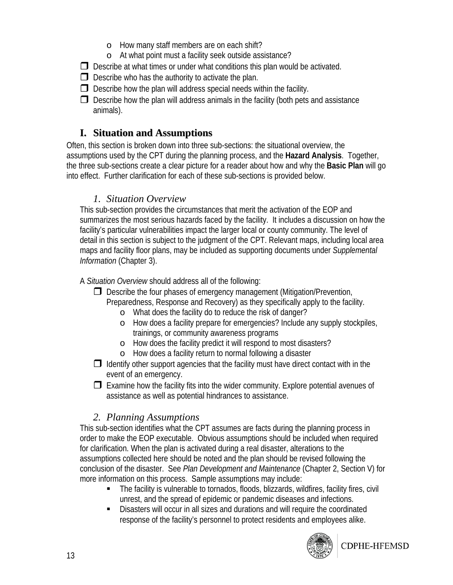- o How many staff members are on each shift?
- o At what point must a facility seek outside assistance?
- $\Box$  Describe at what times or under what conditions this plan would be activated.
- $\Box$  Describe who has the authority to activate the plan.
- $\Box$  Describe how the plan will address special needs within the facility.
- $\Box$  Describe how the plan will address animals in the facility (both pets and assistance animals).

#### **I. Situation and Assumptions**

Often, this section is broken down into three sub-sections: the situational overview, the assumptions used by the CPT during the planning process, and the **Hazard Analysis**. Together, the three sub-sections create a clear picture for a reader about how and why the **Basic Plan** will go into effect. Further clarification for each of these sub-sections is provided below.

#### *1. Situation Overview*

This sub-section provides the circumstances that merit the activation of the EOP and summarizes the most serious hazards faced by the facility. It includes a discussion on how the facility's particular vulnerabilities impact the larger local or county community. The level of detail in this section is subject to the judgment of the CPT. Relevant maps, including local area maps and facility floor plans, may be included as supporting documents under *Supplemental Information* (Chapter 3).

A *Situation Overview* should address all of the following:

- $\Box$  Describe the four phases of emergency management (Mitigation/Prevention, Preparedness, Response and Recovery) as they specifically apply to the facility.
	- o What does the facility do to reduce the risk of danger?
	- o How does a facility prepare for emergencies? Include any supply stockpiles, trainings, or community awareness programs
	- o How does the facility predict it will respond to most disasters?
	- o How does a facility return to normal following a disaster
- $\Box$  Identify other support agencies that the facility must have direct contact with in the event of an emergency.
- $\Box$  Examine how the facility fits into the wider community. Explore potential avenues of assistance as well as potential hindrances to assistance.

#### *2. Planning Assumptions*

This sub-section identifies what the CPT assumes are facts during the planning process in order to make the EOP executable. Obvious assumptions should be included when required for clarification. When the plan is activated during a real disaster, alterations to the assumptions collected here should be noted and the plan should be revised following the conclusion of the disaster. See *Plan Development and Maintenance* (Chapter 2, Section V) for more information on this process. Sample assumptions may include:

- The facility is vulnerable to tornados, floods, blizzards, wildfires, facility fires, civil unrest, and the spread of epidemic or pandemic diseases and infections.
- Disasters will occur in all sizes and durations and will require the coordinated response of the facility's personnel to protect residents and employees alike.



CDPHE-HFEMSD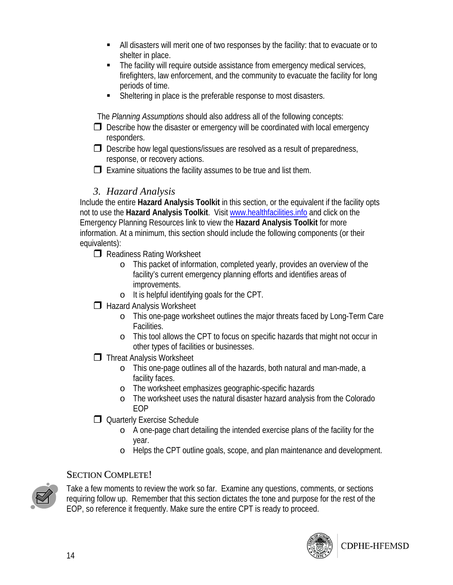- All disasters will merit one of two responses by the facility: that to evacuate or to shelter in place.
- The facility will require outside assistance from emergency medical services, firefighters, law enforcement, and the community to evacuate the facility for long periods of time.
- Sheltering in place is the preferable response to most disasters.

The *Planning Assumptions* should also address all of the following concepts:

- $\Box$  Describe how the disaster or emergency will be coordinated with local emergency responders.
- $\Box$  Describe how legal questions/issues are resolved as a result of preparedness, response, or recovery actions.
- $\Box$  Examine situations the facility assumes to be true and list them.

#### *3. Hazard Analysis*

Include the entire **Hazard Analysis Toolkit** in this section, or the equivalent if the facility opts not to use the **Hazard Analysis Toolkit**. Visit www.healthfacilities.info and click on the Emergency Planning Resources link to view the **Hazard Analysis Toolkit** for more information. At a minimum, this section should include the following components (or their equivalents):

Readiness Rating Worksheet

- o This packet of information, completed yearly, provides an overview of the facility's current emergency planning efforts and identifies areas of improvements.
- o It is helpful identifying goals for the CPT.
- **Hazard Analysis Worksheet** 
	- o This one-page worksheet outlines the major threats faced by Long-Term Care Facilities.
	- o This tool allows the CPT to focus on specific hazards that might not occur in other types of facilities or businesses.
- **T** Threat Analysis Worksheet
	- o This one-page outlines all of the hazards, both natural and man-made, a facility faces.
	- o The worksheet emphasizes geographic-specific hazards
	- o The worksheet uses the natural disaster hazard analysis from the Colorado EOP
- Quarterly Exercise Schedule
	- o A one-page chart detailing the intended exercise plans of the facility for the year.
	- o Helps the CPT outline goals, scope, and plan maintenance and development.

#### SECTION COMPLETE!



Take a few moments to review the work so far. Examine any questions, comments, or sections requiring follow up. Remember that this section dictates the tone and purpose for the rest of the EOP, so reference it frequently. Make sure the entire CPT is ready to proceed.

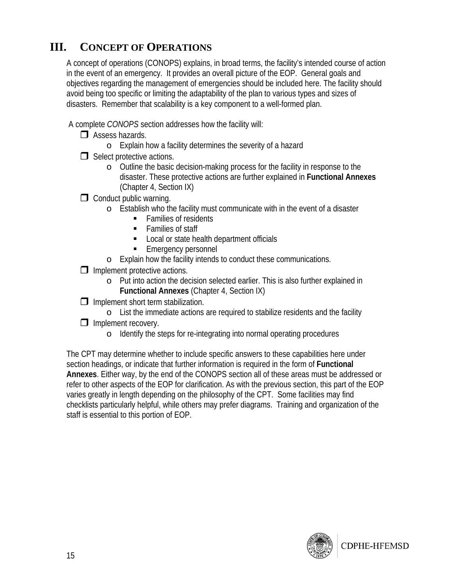# **III. CONCEPT OF OPERATIONS**

A concept of operations (CONOPS) explains, in broad terms, the facility's intended course of action in the event of an emergency. It provides an overall picture of the EOP. General goals and objectives regarding the management of emergencies should be included here. The facility should avoid being too specific or limiting the adaptability of the plan to various types and sizes of disasters. Remember that scalability is a key component to a well-formed plan.

- A complete *CONOPS* section addresses how the facility will:
	- $\Box$  Assess hazards.
		- o Explain how a facility determines the severity of a hazard
	- $\Box$  Select protective actions.
		- o Outline the basic decision-making process for the facility in response to the disaster. These protective actions are further explained in **Functional Annexes** (Chapter 4, Section IX)
	- $\Box$  Conduct public warning.
		- o Establish who the facility must communicate with in the event of a disaster
			- Families of residents
			- **Families of staff**
			- **Local or state health department officials**
			- **Emergency personnel**
		- o Explain how the facility intends to conduct these communications.
	- $\Box$  Implement protective actions.
		- o Put into action the decision selected earlier. This is also further explained in **Functional Annexes** (Chapter 4, Section IX)
	- $\Box$  Implement short term stabilization.
	- o List the immediate actions are required to stabilize residents and the facility  $\Box$  Implement recovery.
		- o Identify the steps for re-integrating into normal operating procedures

The CPT may determine whether to include specific answers to these capabilities here under section headings, or indicate that further information is required in the form of **Functional Annexes**. Either way, by the end of the CONOPS section all of these areas must be addressed or refer to other aspects of the EOP for clarification. As with the previous section, this part of the EOP varies greatly in length depending on the philosophy of the CPT. Some facilities may find checklists particularly helpful, while others may prefer diagrams. Training and organization of the staff is essential to this portion of EOP.

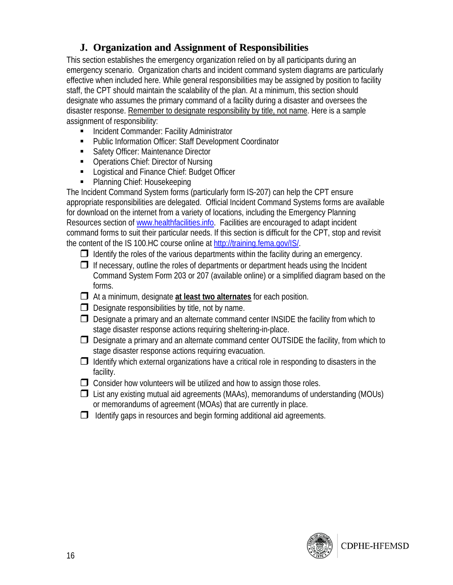#### **J. Organization and Assignment of Responsibilities**

This section establishes the emergency organization relied on by all participants during an emergency scenario. Organization charts and incident command system diagrams are particularly effective when included here. While general responsibilities may be assigned by position to facility staff, the CPT should maintain the scalability of the plan. At a minimum, this section should designate who assumes the primary command of a facility during a disaster and oversees the disaster response. Remember to designate responsibility by title, not name. Here is a sample assignment of responsibility:

- **Incident Commander: Facility Administrator**
- Public Information Officer: Staff Development Coordinator
- Safety Officer: Maintenance Director
- **Operations Chief: Director of Nursing**
- **EXECUTE:** Logistical and Finance Chief: Budget Officer
- Planning Chief: Housekeeping

The Incident Command System forms (particularly form IS-207) can help the CPT ensure appropriate responsibilities are delegated. Official Incident Command Systems forms are available for download on the internet from a variety of locations, including the Emergency Planning Resources section of www.healthfacilities.info. Facilities are encouraged to adapt incident command forms to suit their particular needs. If this section is difficult for the CPT, stop and revisit the content of the IS 100.HC course online at http://training.fema.gov/IS/.

 $\Box$  Identify the roles of the various departments within the facility during an emergency.

 $\Box$  If necessary, outline the roles of departments or department heads using the Incident Command System Form 203 or 207 (available online) or a simplified diagram based on the forms.

- At a minimum, designate **at least two alternates** for each position.
- $\Box$  Designate responsibilities by title, not by name.
- $\Box$  Designate a primary and an alternate command center INSIDE the facility from which to stage disaster response actions requiring sheltering-in-place.
- $\Box$  Designate a primary and an alternate command center OUTSIDE the facility, from which to stage disaster response actions requiring evacuation.

 $\Box$  Identify which external organizations have a critical role in responding to disasters in the facility.

- $\Box$  Consider how volunteers will be utilized and how to assign those roles.
- $\Box$  List any existing mutual aid agreements (MAAs), memorandums of understanding (MOUs) or memorandums of agreement (MOAs) that are currently in place.
- $\Box$  Identify gaps in resources and begin forming additional aid agreements.

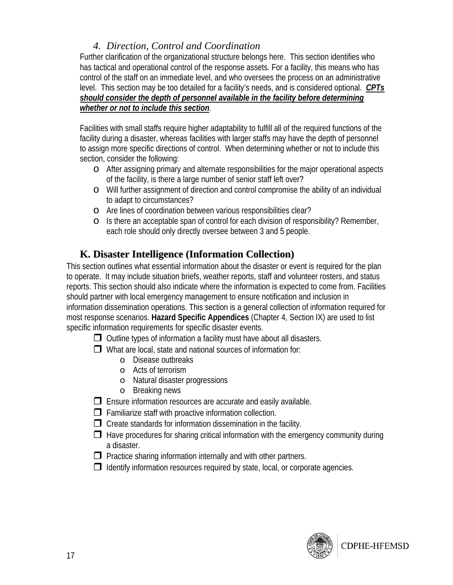#### *4. Direction, Control and Coordination*

Further clarification of the organizational structure belongs here. This section identifies who has tactical and operational control of the response assets. For a facility, this means who has control of the staff on an immediate level, and who oversees the process on an administrative level. This section may be too detailed for a facility's needs, and is considered optional. *CPTs should consider the depth of personnel available in the facility before determining whether or not to include this section*.

Facilities with small staffs require higher adaptability to fulfill all of the required functions of the facility during a disaster, whereas facilities with larger staffs may have the depth of personnel to assign more specific directions of control. When determining whether or not to include this section, consider the following:

- o After assigning primary and alternate responsibilities for the major operational aspects of the facility, is there a large number of senior staff left over?
- o Will further assignment of direction and control compromise the ability of an individual to adapt to circumstances?
- o Are lines of coordination between various responsibilities clear?
- o Is there an acceptable span of control for each division of responsibility? Remember, each role should only directly oversee between 3 and 5 people.

#### **K. Disaster Intelligence (Information Collection)**

This section outlines what essential information about the disaster or event is required for the plan to operate. It may include situation briefs, weather reports, staff and volunteer rosters, and status reports. This section should also indicate where the information is expected to come from. Facilities should partner with local emergency management to ensure notification and inclusion in information dissemination operations. This section is a general collection of information required for most response scenarios. **Hazard Specific Appendices** (Chapter 4, Section IX) are used to list specific information requirements for specific disaster events.

 $\Box$  Outline types of information a facility must have about all disasters.

 $\Box$  What are local, state and national sources of information for:

- o Disease outbreaks
- o Acts of terrorism
- o Natural disaster progressions
- o Breaking news

 $\Box$  Ensure information resources are accurate and easily available.

 $\Box$  Familiarize staff with proactive information collection.

 $\Box$  Create standards for information dissemination in the facility.

- $\Box$  Have procedures for sharing critical information with the emergency community during a disaster.
- $\Box$  Practice sharing information internally and with other partners.
- $\Box$  Identify information resources required by state, local, or corporate agencies.

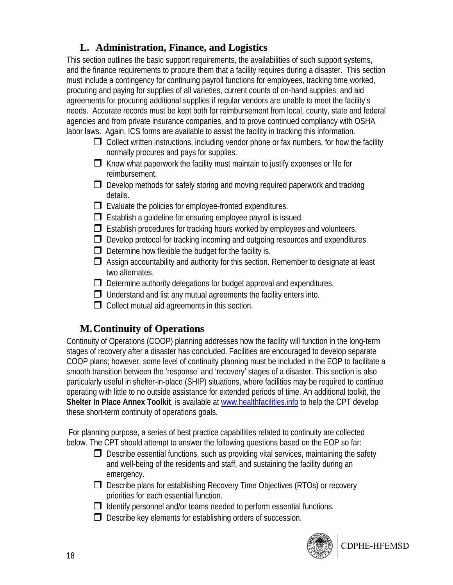#### **L. Administration, Finance, and Logistics**

This section outlines the basic support requirements, the availabilities of such support systems, and the finance requirements to procure them that a facility requires during a disaster. This section must include a contingency for continuing payroll functions for employees, tracking time worked, procuring and paying for supplies of all varieties, current counts of on-hand supplies, and aid agreements for procuring additional supplies if regular vendors are unable to meet the facility's needs. Accurate records must be kept both for reimbursement from local, county, state and federal agencies and from private insurance companies, and to prove continued compliancy with OSHA labor laws. Again, ICS forms are available to assist the facility in tracking this information.

- $\Box$  Collect written instructions, including vendor phone or fax numbers, for how the facility normally procures and pays for supplies.
- $\Box$  Know what paperwork the facility must maintain to justify expenses or file for reimbursement.
- $\Box$  Develop methods for safely storing and moving required paperwork and tracking details.
- $\Box$  Evaluate the policies for employee-fronted expenditures.
- $\Box$  Establish a quideline for ensuring employee payroll is issued.
- $\Box$  Establish procedures for tracking hours worked by employees and volunteers.
- $\Box$  Develop protocol for tracking incoming and outgoing resources and expenditures.
- $\Box$  Determine how flexible the budget for the facility is.
- $\Box$  Assign accountability and authority for this section. Remember to designate at least two alternates.
- $\Box$  Determine authority delegations for budget approval and expenditures.
- $\Box$  Understand and list any mutual agreements the facility enters into.
- $\Box$  Collect mutual aid agreements in this section.

#### **M.Continuity of Operations**

Continuity of Operations (COOP) planning addresses how the facility will function in the long-term stages of recovery after a disaster has concluded. Facilities are encouraged to develop separate COOP plans; however, some level of continuity planning must be included in the EOP to facilitate a smooth transition between the 'response' and 'recovery' stages of a disaster. This section is also particularly useful in shelter-in-place (SHIP) situations, where facilities may be required to continue operating with little to no outside assistance for extended periods of time. An additional toolkit, the Shelter In Place Annex Toolkit, is available at www.healthfacilities.info to help the CPT develop these short-term continuity of operations goals.

 For planning purpose, a series of best practice capabilities related to continuity are collected below. The CPT should attempt to answer the following questions based on the EOP so far:

- $\Box$  Describe essential functions, such as providing vital services, maintaining the safety and well-being of the residents and staff, and sustaining the facility during an emergency.
- $\Box$  Describe plans for establishing Recovery Time Objectives (RTOs) or recovery priorities for each essential function.
- $\Box$  Identify personnel and/or teams needed to perform essential functions.
- $\Box$  Describe key elements for establishing orders of succession.

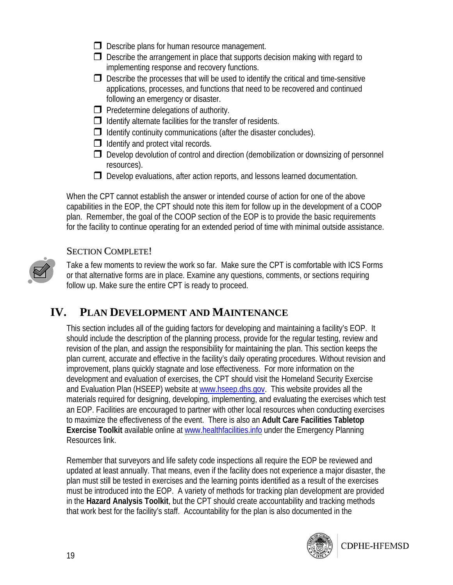- $\Box$  Describe plans for human resource management.
- $\Box$  Describe the arrangement in place that supports decision making with regard to implementing response and recovery functions.
- $\Box$  Describe the processes that will be used to identify the critical and time-sensitive applications, processes, and functions that need to be recovered and continued following an emergency or disaster.
- $\Box$  Predetermine delegations of authority.
- $\Box$  Identify alternate facilities for the transfer of residents.
- $\Box$  Identify continuity communications (after the disaster concludes).
- $\Box$  Identify and protect vital records.
- $\Box$  Develop devolution of control and direction (demobilization or downsizing of personnel resources).
- $\Box$  Develop evaluations, after action reports, and lessons learned documentation.

When the CPT cannot establish the answer or intended course of action for one of the above capabilities in the EOP, the CPT should note this item for follow up in the development of a COOP plan. Remember, the goal of the COOP section of the EOP is to provide the basic requirements for the facility to continue operating for an extended period of time with minimal outside assistance.

#### SECTION COMPLETE!

Take a few moments to review the work so far. Make sure the CPT is comfortable with ICS Forms or that alternative forms are in place. Examine any questions, comments, or sections requiring follow up. Make sure the entire CPT is ready to proceed.

#### **IV. PLAN DEVELOPMENT AND MAINTENANCE**

This section includes all of the guiding factors for developing and maintaining a facility's EOP. It should include the description of the planning process, provide for the regular testing, review and revision of the plan, and assign the responsibility for maintaining the plan. This section keeps the plan current, accurate and effective in the facility's daily operating procedures. Without revision and improvement, plans quickly stagnate and lose effectiveness. For more information on the development and evaluation of exercises, the CPT should visit the Homeland Security Exercise and Evaluation Plan (HSEEP) website at www.hseep.dhs.gov. This website provides all the materials required for designing, developing, implementing, and evaluating the exercises which test an EOP. Facilities are encouraged to partner with other local resources when conducting exercises to maximize the effectiveness of the event. There is also an **Adult Care Facilities Tabletop Exercise Toolkit** available online at www.healthfacilities.info under the Emergency Planning Resources link.

Remember that surveyors and life safety code inspections all require the EOP be reviewed and updated at least annually. That means, even if the facility does not experience a major disaster, the plan must still be tested in exercises and the learning points identified as a result of the exercises must be introduced into the EOP. A variety of methods for tracking plan development are provided in the **Hazard Analysis Toolkit**, but the CPT should create accountability and tracking methods that work best for the facility's staff. Accountability for the plan is also documented in the

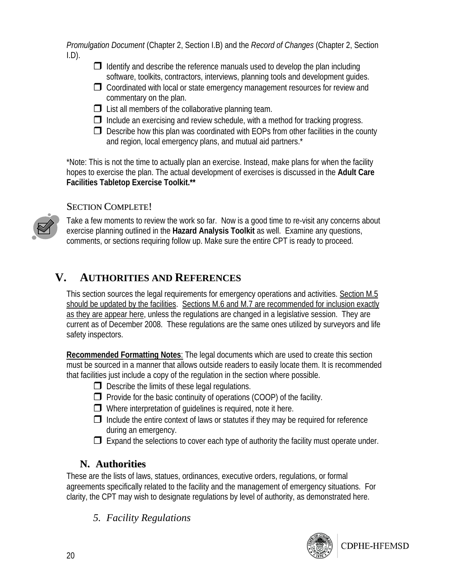*Promulgation Document* (Chapter 2, Section I.B) and the *Record of Changes* (Chapter 2, Section  $I.D$ ).

- $\Box$  Identify and describe the reference manuals used to develop the plan including software, toolkits, contractors, interviews, planning tools and development guides.
- $\Box$  Coordinated with local or state emergency management resources for review and commentary on the plan.
- $\Box$  List all members of the collaborative planning team.
- $\Box$  Include an exercising and review schedule, with a method for tracking progress.
- $\Box$  Describe how this plan was coordinated with EOPs from other facilities in the county and region, local emergency plans, and mutual aid partners.\*

\*Note: This is not the time to actually plan an exercise. Instead, make plans for when the facility hopes to exercise the plan. The actual development of exercises is discussed in the **Adult Care Facilities Tabletop Exercise Toolkit.\*\***

#### SECTION COMPLETE!



Take a few moments to review the work so far. Now is a good time to re-visit any concerns about exercise planning outlined in the **Hazard Analysis Toolkit** as well. Examine any questions, comments, or sections requiring follow up. Make sure the entire CPT is ready to proceed.

# **V. AUTHORITIES AND REFERENCES**

This section sources the legal requirements for emergency operations and activities. Section M.5 should be updated by the facilities. Sections M.6 and M.7 are recommended for inclusion exactly as they are appear here, unless the regulations are changed in a legislative session. They are current as of December 2008. These regulations are the same ones utilized by surveyors and life safety inspectors.

**Recommended Formatting Notes**: The legal documents which are used to create this section must be sourced in a manner that allows outside readers to easily locate them. It is recommended that facilities just include a copy of the regulation in the section where possible.

- $\Box$  Describe the limits of these legal regulations.
- $\Box$  Provide for the basic continuity of operations (COOP) of the facility.
- $\Box$  Where interpretation of quidelines is required, note it here.
- $\Box$  Include the entire context of laws or statutes if they may be required for reference during an emergency.
- $\Box$  Expand the selections to cover each type of authority the facility must operate under.

#### **N. Authorities**

These are the lists of laws, statues, ordinances, executive orders, regulations, or formal agreements specifically related to the facility and the management of emergency situations. For clarity, the CPT may wish to designate regulations by level of authority, as demonstrated here.

#### *5. Facility Regulations*

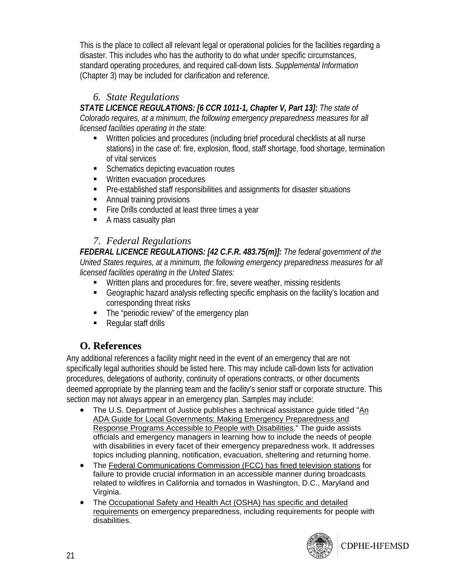This is the place to collect all relevant legal or operational policies for the facilities regarding a disaster. This includes who has the authority to do what under specific circumstances, standard operating procedures, and required call-down lists. *Supplemental Information* (Chapter 3) may be included for clarification and reference.

#### *6. State Regulations*

*STATE LICENCE REGULATIONS: [6 CCR 1011-1, Chapter V, Part 13]: The state of Colorado requires, at a minimum, the following emergency preparedness measures for all licensed facilities operating in the state:*

- Written policies and procedures (including brief procedural checklists at all nurse stations) in the case of: fire, explosion, flood, staff shortage, food shortage, termination of vital services
- Schematics depicting evacuation routes
- **Written evacuation procedures**
- Pre-established staff responsibilities and assignments for disaster situations
- **Annual training provisions**
- **Fire Drills conducted at least three times a year**
- A mass casualty plan

#### *7. Federal Regulations*

*FEDERAL LICENCE REGULATIONS: [42 C.F.R. 483.75(m)]: The federal government of the United States requires, at a minimum, the following emergency preparedness measures for all licensed facilities operating in the United States:*

- Written plans and procedures for: fire, severe weather, missing residents
- Geographic hazard analysis reflecting specific emphasis on the facility's location and corresponding threat risks
- The "periodic review" of the emergency plan
- Regular staff drills

#### **O. References**

Any additional references a facility might need in the event of an emergency that are not specifically legal authorities should be listed here. This may include call-down lists for activation procedures, delegations of authority, continuity of operations contracts, or other documents deemed appropriate by the planning team and the facility's senior staff or corporate structure. This section may not always appear in an emergency plan. Samples may include:

- The U.S. Department of Justice publishes a technical assistance guide titled "An ADA Guide for Local Governments: Making Emergency Preparedness and Response Programs Accessible to People with Disabilities." The guide assists officials and emergency managers in learning how to include the needs of people with disabilities in every facet of their emergency preparedness work. It addresses topics including planning, notification, evacuation, sheltering and returning home.
- The Federal Communications Commission (FCC) has fined television stations for failure to provide crucial information in an accessible manner during broadcasts related to wildfires in California and tornados in Washington, D.C., Maryland and Virginia.
- The Occupational Safety and Health Act (OSHA) has specific and detailed requirements on emergency preparedness, including requirements for people with disabilities.



CDPHE-HFEMSD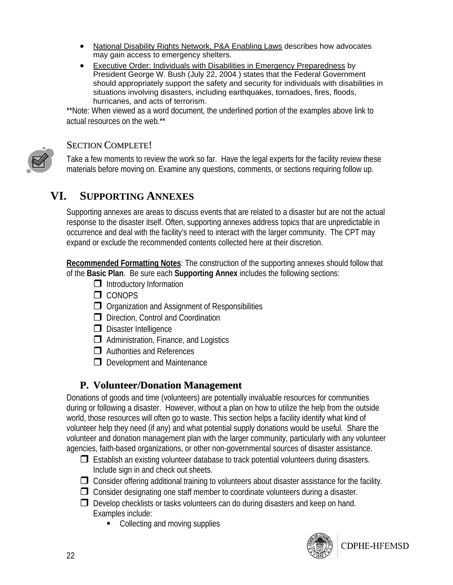- National Disability Rights Network, P&A Enabling Laws describes how advocates may gain access to emergency shelters.
- Executive Order: Individuals with Disabilities in Emergency Preparedness by President George W. Bush (July 22, 2004 ) states that the Federal Government should appropriately support the safety and security for individuals with disabilities in situations involving disasters, including earthquakes, tornadoes, fires, floods, hurricanes, and acts of terrorism.

\*\*Note: When viewed as a word document, the underlined portion of the examples above link to actual resources on the web.\*\*



#### SECTION COMPLETE!

Take a few moments to review the work so far. Have the legal experts for the facility review these materials before moving on. Examine any questions, comments, or sections requiring follow up.

#### **VI. SUPPORTING ANNEXES**

Supporting annexes are areas to discuss events that are related to a disaster but are not the actual response to the disaster itself. Often, supporting annexes address topics that are unpredictable in occurrence and deal with the facility's need to interact with the larger community. The CPT may expand or exclude the recommended contents collected here at their discretion.

**Recommended Formatting Notes**: The construction of the supporting annexes should follow that of the **Basic Plan**. Be sure each **Supporting Annex** includes the following sections:

- $\Box$  Introductory Information
- $\Box$  CONOPS
- $\Box$  Organization and Assignment of Responsibilities
- D Direction, Control and Coordination
- D Disaster Intelligence
- $\Box$  Administration, Finance, and Logistics
- **□** Authorities and References
- $\Box$  Development and Maintenance

#### **P. Volunteer/Donation Management**

Donations of goods and time (volunteers) are potentially invaluable resources for communities during or following a disaster. However, without a plan on how to utilize the help from the outside world, those resources will often go to waste. This section helps a facility identify what kind of volunteer help they need (if any) and what potential supply donations would be useful. Share the volunteer and donation management plan with the larger community, particularly with any volunteer agencies, faith-based organizations, or other non-governmental sources of disaster assistance.

- $\Box$  Establish an existing volunteer database to track potential volunteers during disasters. Include sign in and check out sheets.
- $\Box$  Consider offering additional training to volunteers about disaster assistance for the facility.
- $\Box$  Consider designating one staff member to coordinate volunteers during a disaster.
- $\Box$  Develop checklists or tasks volunteers can do during disasters and keep on hand. Examples include:
	- Collecting and moving supplies

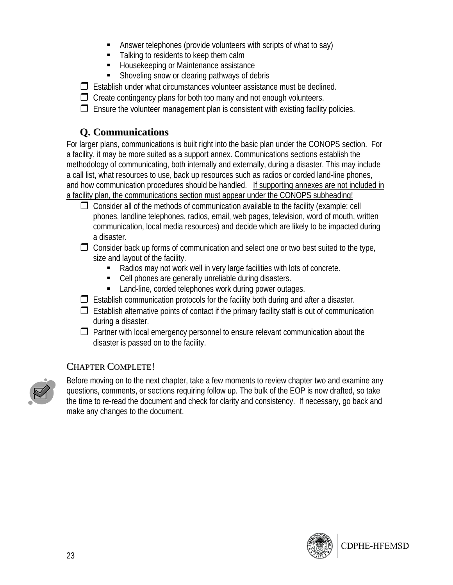- Answer telephones (provide volunteers with scripts of what to say)
- Talking to residents to keep them calm
- Housekeeping or Maintenance assistance
- **Shoveling snow or clearing pathways of debris**

 $\Box$  Establish under what circumstances volunteer assistance must be declined.

 $\Box$  Create contingency plans for both too many and not enough volunteers.

 $\Box$  Ensure the volunteer management plan is consistent with existing facility policies.

#### **Q. Communications**

For larger plans, communications is built right into the basic plan under the CONOPS section. For a facility, it may be more suited as a support annex. Communications sections establish the methodology of communicating, both internally and externally, during a disaster. This may include a call list, what resources to use, back up resources such as radios or corded land-line phones, and how communication procedures should be handled. If supporting annexes are not included in a facility plan, the communications section must appear under the CONOPS subheading!

- $\Box$  Consider all of the methods of communication available to the facility (example: cell phones, landline telephones, radios, email, web pages, television, word of mouth, written communication, local media resources) and decide which are likely to be impacted during a disaster.
- $\Box$  Consider back up forms of communication and select one or two best suited to the type, size and layout of the facility.
	- Radios may not work well in very large facilities with lots of concrete.
	- Cell phones are generally unreliable during disasters.
	- **Land-line, corded telephones work during power outages.**
- $\Box$  Establish communication protocols for the facility both during and after a disaster.
- $\Box$  Establish alternative points of contact if the primary facility staff is out of communication during a disaster.
- $\Box$  Partner with local emergency personnel to ensure relevant communication about the disaster is passed on to the facility.

#### CHAPTER COMPLETE!



Before moving on to the next chapter, take a few moments to review chapter two and examine any questions, comments, or sections requiring follow up. The bulk of the EOP is now drafted, so take the time to re-read the document and check for clarity and consistency. If necessary, go back and make any changes to the document.

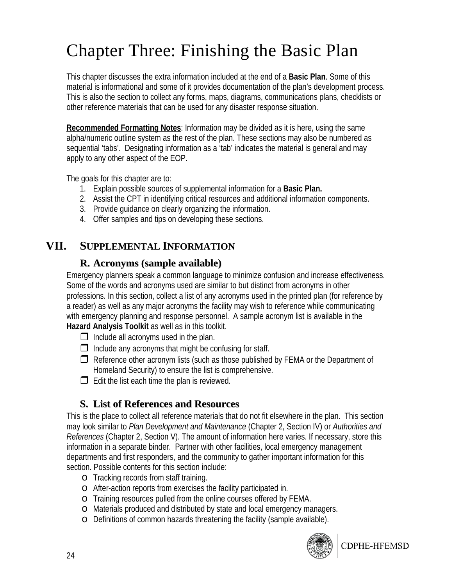# Chapter Three: Finishing the Basic Plan

This chapter discusses the extra information included at the end of a **Basic Plan**. Some of this material is informational and some of it provides documentation of the plan's development process. This is also the section to collect any forms, maps, diagrams, communications plans, checklists or other reference materials that can be used for any disaster response situation.

**Recommended Formatting Notes**: Information may be divided as it is here, using the same alpha/numeric outline system as the rest of the plan. These sections may also be numbered as sequential 'tabs'. Designating information as a 'tab' indicates the material is general and may apply to any other aspect of the EOP.

The goals for this chapter are to:

- 1. Explain possible sources of supplemental information for a **Basic Plan.**
- 2. Assist the CPT in identifying critical resources and additional information components.
- 3. Provide guidance on clearly organizing the information.
- 4. Offer samples and tips on developing these sections.

### **VII. SUPPLEMENTAL INFORMATION**

#### **R. Acronyms (sample available)**

Emergency planners speak a common language to minimize confusion and increase effectiveness. Some of the words and acronyms used are similar to but distinct from acronyms in other professions. In this section, collect a list of any acronyms used in the printed plan (for reference by a reader) as well as any major acronyms the facility may wish to reference while communicating with emergency planning and response personnel. A sample acronym list is available in the **Hazard Analysis Toolkit** as well as in this toolkit.

- $\Box$  Include all acronyms used in the plan.
- $\Box$  Include any acronyms that might be confusing for staff.
- $\Box$  Reference other acronym lists (such as those published by FEMA or the Department of Homeland Security) to ensure the list is comprehensive.
- $\Box$  Edit the list each time the plan is reviewed.

#### **S. List of References and Resources**

This is the place to collect all reference materials that do not fit elsewhere in the plan. This section may look similar to *Plan Development and Maintenance* (Chapter 2, Section IV) or *Authorities and References* (Chapter 2, Section V). The amount of information here varies. If necessary, store this information in a separate binder. Partner with other facilities, local emergency management departments and first responders, and the community to gather important information for this section. Possible contents for this section include:

- o Tracking records from staff training.
- o After-action reports from exercises the facility participated in.
- o Training resources pulled from the online courses offered by FEMA.
- o Materials produced and distributed by state and local emergency managers.
- o Definitions of common hazards threatening the facility (sample available).



CDPHE-HFEMSD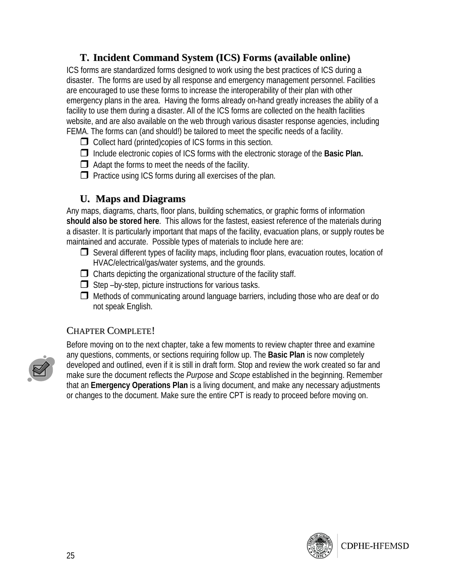#### **T. Incident Command System (ICS) Forms (available online)**

ICS forms are standardized forms designed to work using the best practices of ICS during a disaster. The forms are used by all response and emergency management personnel. Facilities are encouraged to use these forms to increase the interoperability of their plan with other emergency plans in the area. Having the forms already on-hand greatly increases the ability of a facility to use them during a disaster. All of the ICS forms are collected on the health facilities website, and are also available on the web through various disaster response agencies, including FEMA. The forms can (and should!) be tailored to meet the specific needs of a facility.

- $\Box$  Collect hard (printed)copies of ICS forms in this section.
- Include electronic copies of ICS forms with the electronic storage of the **Basic Plan.**
- $\Box$  Adapt the forms to meet the needs of the facility.
- $\Box$  Practice using ICS forms during all exercises of the plan.

#### **U. Maps and Diagrams**

Any maps, diagrams, charts, floor plans, building schematics, or graphic forms of information **should also be stored here**. This allows for the fastest, easiest reference of the materials during a disaster. It is particularly important that maps of the facility, evacuation plans, or supply routes be maintained and accurate. Possible types of materials to include here are:

- $\Box$  Several different types of facility maps, including floor plans, evacuation routes, location of HVAC/electrical/gas/water systems, and the grounds.
- $\Box$  Charts depicting the organizational structure of the facility staff.
- $\Box$  Step –by-step, picture instructions for various tasks.
- $\Box$  Methods of communicating around language barriers, including those who are deaf or do not speak English.

#### CHAPTER COMPLETE!



Before moving on to the next chapter, take a few moments to review chapter three and examine any questions, comments, or sections requiring follow up. The **Basic Plan** is now completely developed and outlined, even if it is still in draft form. Stop and review the work created so far and make sure the document reflects the *Purpose* and *Scope* established in the beginning. Remember that an **Emergency Operations Plan** is a living document, and make any necessary adjustments or changes to the document. Make sure the entire CPT is ready to proceed before moving on.

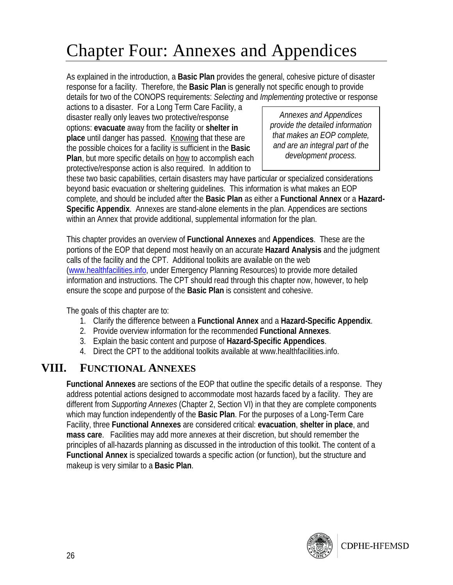# Chapter Four: Annexes and Appendices

As explained in the introduction, a **Basic Plan** provides the general, cohesive picture of disaster response for a facility. Therefore, the **Basic Plan** is generally not specific enough to provide details for two of the CONOPS requirements: *Selecting* and *Implementing* protective or response

actions to a disaster. For a Long Term Care Facility, a disaster really only leaves two protective/response options: **evacuate** away from the facility or **shelter in place** until danger has passed. Knowing that these are the possible choices for a facility is sufficient in the **Basic Plan**, but more specific details on how to accomplish each protective/response action is also required. In addition to

*Annexes and Appendices provide the detailed information that makes an EOP complete, and are an integral part of the development process.* 

these two basic capabilities, certain disasters may have particular or specialized considerations beyond basic evacuation or sheltering guidelines. This information is what makes an EOP complete, and should be included after the **Basic Plan** as either a **Functional Annex** or a **Hazard-Specific Appendix**. Annexes are stand-alone elements in the plan. Appendices are sections within an Annex that provide additional, supplemental information for the plan.

This chapter provides an overview of **Functional Annexes** and **Appendices**. These are the portions of the EOP that depend most heavily on an accurate **Hazard Analysis** and the judgment calls of the facility and the CPT. Additional toolkits are available on the web (www.healthfacilities.info, under Emergency Planning Resources) to provide more detailed information and instructions. The CPT should read through this chapter now, however, to help ensure the scope and purpose of the **Basic Plan** is consistent and cohesive.

The goals of this chapter are to:

- 1. Clarify the difference between a **Functional Annex** and a **Hazard-Specific Appendix**.
- 2. Provide overview information for the recommended **Functional Annexes**.
- 3. Explain the basic content and purpose of **Hazard-Specific Appendices**.
- 4. Direct the CPT to the additional toolkits available at www.healthfacilities.info.

#### **VIII. FUNCTIONAL ANNEXES**

**Functional Annexes** are sections of the EOP that outline the specific details of a response. They address potential actions designed to accommodate most hazards faced by a facility. They are different from *Supporting Annexes* (Chapter 2, Section VI) in that they are complete components which may function independently of the **Basic Plan**. For the purposes of a Long-Term Care Facility, three **Functional Annexes** are considered critical: **evacuation**, **shelter in place**, and **mass care**. Facilities may add more annexes at their discretion, but should remember the principles of all-hazards planning as discussed in the introduction of this toolkit. The content of a **Functional Annex** is specialized towards a specific action (or function), but the structure and makeup is very similar to a **Basic Plan**.

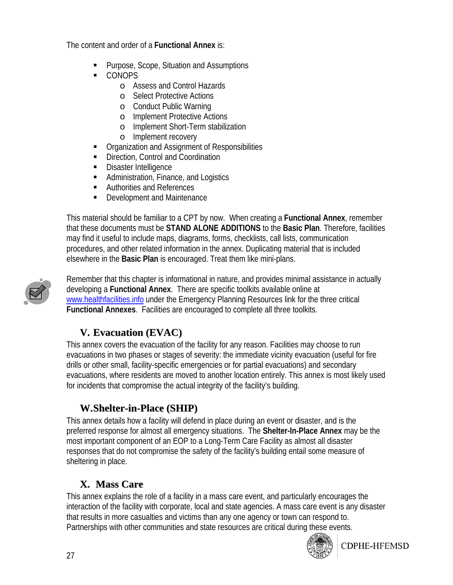The content and order of a **Functional Annex** is:

- **Purpose, Scope, Situation and Assumptions**
- CONOPS
	- o Assess and Control Hazards
	- o Select Protective Actions
	- o Conduct Public Warning
	- o Implement Protective Actions
	- o Implement Short-Term stabilization
	- o Implement recovery
- **Organization and Assignment of Responsibilities**
- **EXECUTE:** Direction, Control and Coordination
- **Disaster Intelligence**
- Administration, Finance, and Logistics
- Authorities and References
- Development and Maintenance

This material should be familiar to a CPT by now. When creating a **Functional Annex**, remember that these documents must be **STAND ALONE ADDITIONS** to the **Basic Plan**. Therefore, facilities may find it useful to include maps, diagrams, forms, checklists, call lists, communication procedures, and other related information in the annex. Duplicating material that is included elsewhere in the **Basic Plan** is encouraged. Treat them like mini-plans.



Remember that this chapter is informational in nature, and provides minimal assistance in actually developing a **Functional Annex**. There are specific toolkits available online at www.healthfacilities.info under the Emergency Planning Resources link for the three critical **Functional Annexes**. Facilities are encouraged to complete all three toolkits.

#### **V. Evacuation (EVAC)**

This annex covers the evacuation of the facility for any reason. Facilities may choose to run evacuations in two phases or stages of severity: the immediate vicinity evacuation (useful for fire drills or other small, facility-specific emergencies or for partial evacuations) and secondary evacuations, where residents are moved to another location entirely. This annex is most likely used for incidents that compromise the actual integrity of the facility's building.

#### **W.Shelter-in-Place (SHIP)**

This annex details how a facility will defend in place during an event or disaster, and is the preferred response for almost all emergency situations. The **Shelter-In-Place Annex** may be the most important component of an EOP to a Long-Term Care Facility as almost all disaster responses that do not compromise the safety of the facility's building entail some measure of sheltering in place.

### **X. Mass Care**

This annex explains the role of a facility in a mass care event, and particularly encourages the interaction of the facility with corporate, local and state agencies. A mass care event is any disaster that results in more casualties and victims than any one agency or town can respond to. Partnerships with other communities and state resources are critical during these events.



**CDPHE-HFEMSD**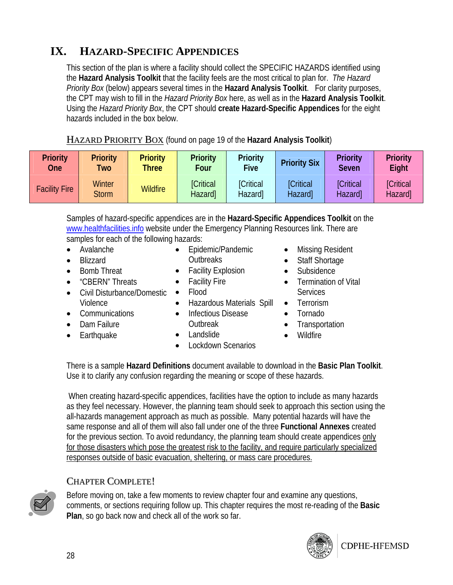### **IX. HAZARD-SPECIFIC APPENDICES**

This section of the plan is where a facility should collect the SPECIFIC HAZARDS identified using the **Hazard Analysis Toolkit** that the facility feels are the most critical to plan for. *The Hazard Priority Box* (below) appears several times in the **Hazard Analysis Toolkit**. For clarity purposes, the CPT may wish to fill in the *Hazard Priority Box* here, as well as in the **Hazard Analysis Toolkit**. Using the *Hazard Priority Box*, the CPT should **create Hazard-Specific Appendices** for the eight hazards included in the box below.

| <b>HAZARD PRIORITY BOX</b> (found on page 19 of the Hazard Analysis Toolkit) |
|------------------------------------------------------------------------------|
|------------------------------------------------------------------------------|

| <b>Priority</b>      | <b>Priority</b>               | <b>Priority</b> | <b>Priority</b>             | <b>Priority</b>             | <b>Priority Six</b>         | <b>Priority</b>                   | <b>Priority</b>             |
|----------------------|-------------------------------|-----------------|-----------------------------|-----------------------------|-----------------------------|-----------------------------------|-----------------------------|
| <b>One</b>           | <b>Two</b>                    | <b>Three</b>    | Four                        | <b>Five</b>                 |                             | <b>Seven</b>                      | Eight                       |
| <b>Facility Fire</b> | <b>Winter</b><br><b>Storm</b> | <b>Wildfire</b> | <b>[Critical</b><br>Hazard] | <b>[Critical</b><br>Hazard] | <b>[Critical</b><br>Hazard] | <b>[Critical</b><br><b>Hazard</b> | <b>[Critical</b><br>Hazard] |

Samples of hazard-specific appendices are in the **Hazard-Specific Appendices Toolkit** on the www.healthfacilities.info website under the Emergency Planning Resources link. There are samples for each of the following hazards:

> • Epidemic/Pandemic **Outbreaks** • Facility Explosion • Facility Fire

- Avalanche
- Blizzard
- Bomb Threat
- "CBERN" Threats
- Civil Disturbance/Domestic Violence
	- Flood • Hazardous Materials Spill
		- Infectious Disease
- Communications • Dam Failure
- Earthquake
- Landslide

Outbreak

• Lockdown Scenarios

- Missing Resident
- Staff Shortage
- Subsidence
- Termination of Vital **Services**
- Terrorism
- Tornado
- **Transportation**
- Wildfire

There is a sample **Hazard Definitions** document available to download in the **Basic Plan Toolkit**. Use it to clarify any confusion regarding the meaning or scope of these hazards.

When creating hazard-specific appendices, facilities have the option to include as many hazards as they feel necessary. However, the planning team should seek to approach this section using the all-hazards management approach as much as possible. Many potential hazards will have the same response and all of them will also fall under one of the three **Functional Annexes** created for the previous section. To avoid redundancy, the planning team should create appendices only for those disasters which pose the greatest risk to the facility, and require particularly specialized responses outside of basic evacuation, sheltering, or mass care procedures.

#### CHAPTER COMPLETE!



Before moving on, take a few moments to review chapter four and examine any questions, comments, or sections requiring follow up. This chapter requires the most re-reading of the **Basic Plan**, so go back now and check all of the work so far.